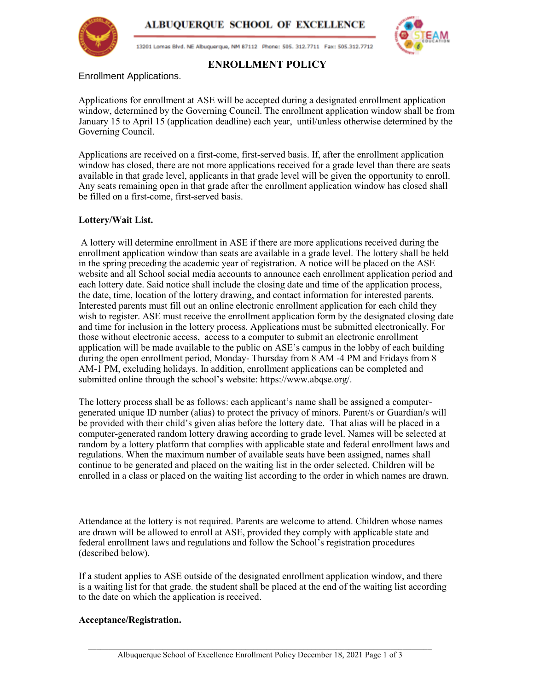



13201 Lomas Blvd. NE Albuquerque, NM 87112 Phone: 505. 312.7711 Fax: 505.312.7712



## **ENROLLMENT POLICY**

Enrollment Applications.

Applications for enrollment at ASE will be accepted during a designated enrollment application window, determined by the Governing Council. The enrollment application window shall be from January 15 to April 15 (application deadline) each year, until/unless otherwise determined by the Governing Council.

Applications are received on a first-come, first-served basis. If, after the enrollment application window has closed, there are not more applications received for a grade level than there are seats available in that grade level, applicants in that grade level will be given the opportunity to enroll. Any seats remaining open in that grade after the enrollment application window has closed shall be filled on a first-come, first-served basis.

### **Lottery/Wait List.**

A lottery will determine enrollment in ASE if there are more applications received during the enrollment application window than seats are available in a grade level. The lottery shall be held in the spring preceding the academic year of registration. A notice will be placed on the ASE website and all School social media accounts to announce each enrollment application period and each lottery date. Said notice shall include the closing date and time of the application process, the date, time, location of the lottery drawing, and contact information for interested parents. Interested parents must fill out an online electronic enrollment application for each child they wish to register. ASE must receive the enrollment application form by the designated closing date and time for inclusion in the lottery process. Applications must be submitted electronically. For those without electronic access, access to a computer to submit an electronic enrollment application will be made available to the public on ASE's campus in the lobby of each building during the open enrollment period, Monday- Thursday from 8 AM -4 PM and Fridays from 8 AM-1 PM, excluding holidays. In addition, enrollment applications can be completed and submitted online through the school's website: https://www.abqse.org/.

The lottery process shall be as follows: each applicant's name shall be assigned a computergenerated unique ID number (alias) to protect the privacy of minors. Parent/s or Guardian/s will be provided with their child's given alias before the lottery date. That alias will be placed in a computer-generated random lottery drawing according to grade level. Names will be selected at random by a lottery platform that complies with applicable state and federal enrollment laws and regulations. When the maximum number of available seats have been assigned, names shall continue to be generated and placed on the waiting list in the order selected. Children will be enrolled in a class or placed on the waiting list according to the order in which names are drawn.

Attendance at the lottery is not required. Parents are welcome to attend. Children whose names are drawn will be allowed to enroll at ASE, provided they comply with applicable state and federal enrollment laws and regulations and follow the School's registration procedures (described below).

If a student applies to ASE outside of the designated enrollment application window, and there is a waiting list for that grade. the student shall be placed at the end of the waiting list according to the date on which the application is received.

### **Acceptance/Registration.**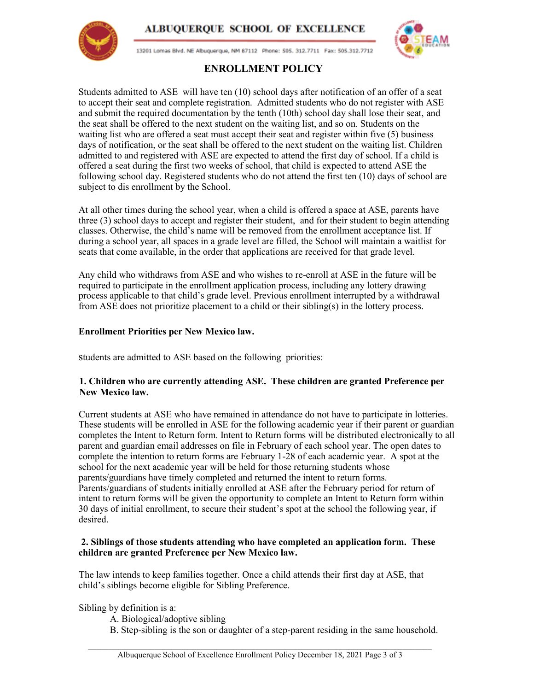



13201 Lomas Blvd. NE Albuquerque, NM 87112 Phone: 505. 312.7711 Fax: 505.312.7712



# **ENROLLMENT POLICY**

Students admitted to ASE will have ten (10) school days after notification of an offer of a seat to accept their seat and complete registration. Admitted students who do not register with ASE and submit the required documentation by the tenth (10th) school day shall lose their seat, and the seat shall be offered to the next student on the waiting list, and so on. Students on the waiting list who are offered a seat must accept their seat and register within five (5) business days of notification, or the seat shall be offered to the next student on the waiting list. Children admitted to and registered with ASE are expected to attend the first day of school. If a child is offered a seat during the first two weeks of school, that child is expected to attend ASE the following school day. Registered students who do not attend the first ten (10) days of school are subject to dis enrollment by the School.

At all other times during the school year, when a child is offered a space at ASE, parents have three (3) school days to accept and register their student, and for their student to begin attending classes. Otherwise, the child's name will be removed from the enrollment acceptance list. If during a school year, all spaces in a grade level are filled, the School will maintain a waitlist for seats that come available, in the order that applications are received for that grade level.

Any child who withdraws from ASE and who wishes to re-enroll at ASE in the future will be required to participate in the enrollment application process, including any lottery drawing process applicable to that child's grade level. Previous enrollment interrupted by a withdrawal from ASE does not prioritize placement to a child or their sibling(s) in the lottery process.

### **Enrollment Priorities per New Mexico law.**

students are admitted to ASE based on the following priorities:

#### **1. Children who are currently attending ASE. These children are granted Preference per New Mexico law.**

Current students at ASE who have remained in attendance do not have to participate in lotteries. These students will be enrolled in ASE for the following academic year if their parent or guardian completes the Intent to Return form. Intent to Return forms will be distributed electronically to all parent and guardian email addresses on file in February of each school year. The open dates to complete the intention to return forms are February 1-28 of each academic year. A spot at the school for the next academic year will be held for those returning students whose parents/guardians have timely completed and returned the intent to return forms. Parents/guardians of students initially enrolled at ASE after the February period for return of intent to return forms will be given the opportunity to complete an Intent to Return form within 30 days of initial enrollment, to secure their student's spot at the school the following year, if desired.

#### **2. Siblings of those students attending who have completed an application form. These children are granted Preference per New Mexico law.**

The law intends to keep families together. Once a child attends their first day at ASE, that child's siblings become eligible for Sibling Preference.

Sibling by definition is a:

- A. Biological/adoptive sibling
- B. Step-sibling is the son or daughter of a step-parent residing in the same household.